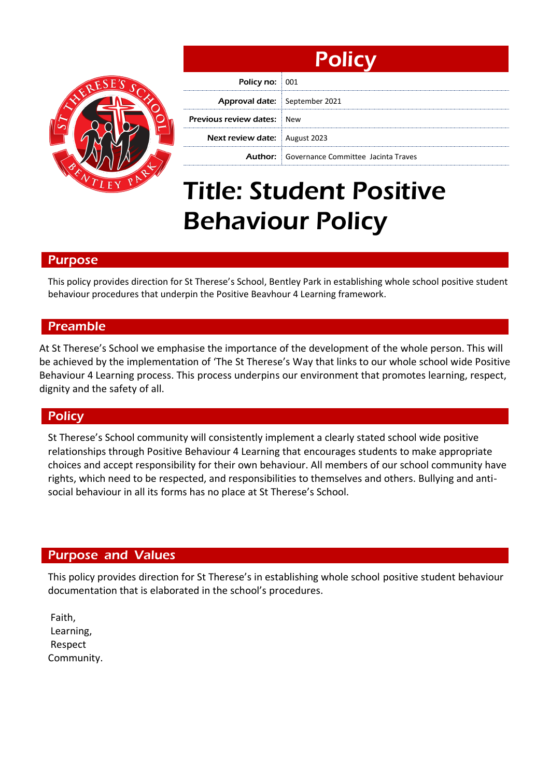

| <b>Policy</b>                        |                                                    |
|--------------------------------------|----------------------------------------------------|
| Policy no: 001                       |                                                    |
| Approval date: September 2021        |                                                    |
| <b>Previous review dates: New</b>    |                                                    |
| <b>Next review date:</b> August 2023 |                                                    |
|                                      | <b>Author:</b> Governance Committee Jacinta Traves |

# Title: Student Positive Behaviour Policy

# Purpose

This policy provides direction for St Therese's School, Bentley Park in establishing whole school positive student behaviour procedures that underpin the Positive Beavhour 4 Learning framework.

# Preamble

At St Therese's School we emphasise the importance of the development of the whole person. This will be achieved by the implementation of 'The St Therese's Way that links to our whole school wide Positive Behaviour 4 Learning process. This process underpins our environment that promotes learning, respect, dignity and the safety of all.

## **Policy**

St Therese's School community will consistently implement a clearly stated school wide positive relationships through Positive Behaviour 4 Learning that encourages students to make appropriate choices and accept responsibility for their own behaviour. All members of our school community have rights, which need to be respected, and responsibilities to themselves and others. Bullying and antisocial behaviour in all its forms has no place at St Therese's School.

## Purpose and Values

This policy provides direction for St Therese's in establishing whole school positive student behaviour documentation that is elaborated in the school's procedures.

Faith, Learning, Respect Community.